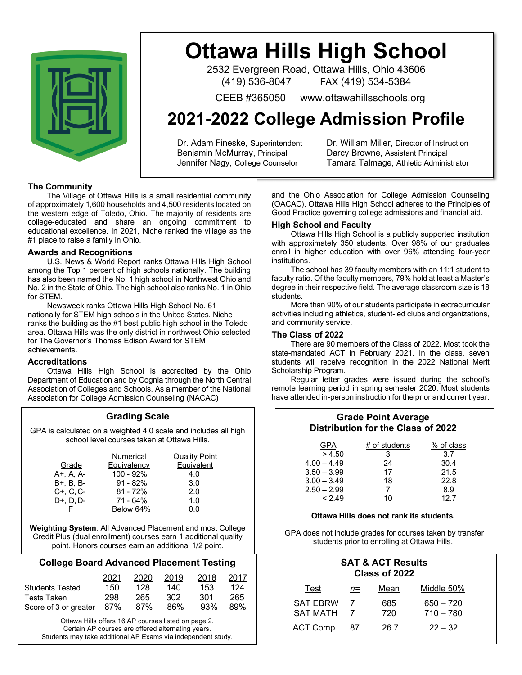

# **Ottawa Hills High School**

2532 Evergreen Road, Ottawa Hills, Ohio 43606 (419) 536-8047 FAX (419) 534-5384

CEEB #365050 www.ottawahillsschools.org

## **2021-2022 College Admission Profile**

Dr. Adam Fineske, Superintendent Dr. William Miller, Director of Instruction Benjamin McMurray, Principal Darcy Browne, Assistant Principal

Jennifer Nagy, College Counselor Tamara Talmage, Athletic Administrator

### **The Community**

The Village of Ottawa Hills is a small residential community of approximately 1,600 households and 4,500 residents located on the western edge of Toledo, Ohio. The majority of residents are college-educated and share an ongoing commitment to educational excellence. In 2021, Niche ranked the village as the #1 place to raise a family in Ohio.

### **Awards and Recognitions**

U.S. News & World Report ranks Ottawa Hills High School among the Top 1 percent of high schools nationally. The building has also been named the No. 1 high school in Northwest Ohio and No. 2 in the State of Ohio. The high school also ranks No. 1 in Ohio for STEM.

Newsweek ranks Ottawa Hills High School No. 61 nationally for STEM high schools in the United States. Niche ranks the building as the #1 best public high school in the Toledo area. Ottawa Hills was the only district in northwest Ohio selected for The Governor's Thomas Edison Award for STEM achievements.

### **Accreditations**

Ottawa Hills High School is accredited by the Ohio Department of Education and by Cognia through the North Central Association of Colleges and Schools. As a member of the National Association for College Admission Counseling (NACAC)

### **Grading Scale**

GPA is calculated on a weighted 4.0 scale and includes all high school level courses taken at Ottawa Hills.

|                   | Numerical          | <b>Quality Point</b> |
|-------------------|--------------------|----------------------|
| Grade             | <b>Equivalency</b> | Equivalent           |
| A+, A, A-         | $100 - 92%$        | 4.0                  |
| B+, B, B-         | $91 - 82%$         | 3.0                  |
| $C+, C, C-$       | $81 - 72%$         | 2.0                  |
| $D+$ , $D$ , $D-$ | 71 - 64%           | 1.0                  |
|                   | Below 64%          | 0.0                  |

**Weighting System**: All Advanced Placement and most College Credit Plus (dual enrollment) courses earn 1 additional quality point. Honors courses earn an additional 1/2 point.

### **College Board Advanced Placement Testing**

|                               | 2021 | 2020 | 2019 | 2018 | 2017 |
|-------------------------------|------|------|------|------|------|
| <b>Students Tested</b>        | 150  | 128  | 140  | 153  | 124  |
| Tests Taken                   | 298  | 265  | 302  | -301 | 265  |
| Score of 3 or greater 87% 87% |      |      | 86%  | 93%  | 89%  |

Ottawa Hills offers 16 AP courses listed on page 2. Certain AP courses are offered alternating years. Students may take additional AP Exams via independent study. and the Ohio Association for College Admission Counseling (OACAC), Ottawa Hills High School adheres to the Principles of Good Practice governing college admissions and financial aid.

### **High School and Faculty**

Ottawa Hills High School is a publicly supported institution with approximately 350 students. Over 98% of our graduates enroll in higher education with over 96% attending four-year institutions.

The school has 39 faculty members with an 11:1 student to faculty ratio. Of the faculty members, 79% hold at least a Master's degree in their respective field. The average classroom size is 18 students.

More than 90% of our students participate in extracurricular activities including athletics, student-led clubs and organizations, and community service.

#### **The Class of 2022**

There are 90 members of the Class of 2022. Most took the state-mandated ACT in February 2021. In the class, seven students will receive recognition in the 2022 National Merit Scholarship Program.

Regular letter grades were issued during the school's remote learning period in spring semester 2020. Most students have attended in-person instruction for the prior and current year.

### **Grade Point Average Distribution for the Class of 2022**

| GPA           | # of students | % of class |
|---------------|---------------|------------|
| > 4.50        | 3             | 3.7        |
| $4.00 - 4.49$ | 24            | 30.4       |
| $3.50 - 3.99$ | 17            | 21.5       |
| $3.00 - 3.49$ | 18            | 22.8       |
| $2.50 - 2.99$ |               | 8.9        |
| < 2.49        | 10            | 12.7       |

### **Ottawa Hills does not rank its students.**

GPA does not include grades for courses taken by transfer students prior to enrolling at Ottawa Hills.

### **SAT & ACT Results Class of 2022**

| Test                               | n= | Mean       | Middle 50%                 |
|------------------------------------|----|------------|----------------------------|
| <b>SAT EBRW</b><br><b>SAT MATH</b> |    | 685<br>720 | $650 - 720$<br>$710 - 780$ |
| ACT Comp.                          | 87 | 26.7       | $22 - 32$                  |